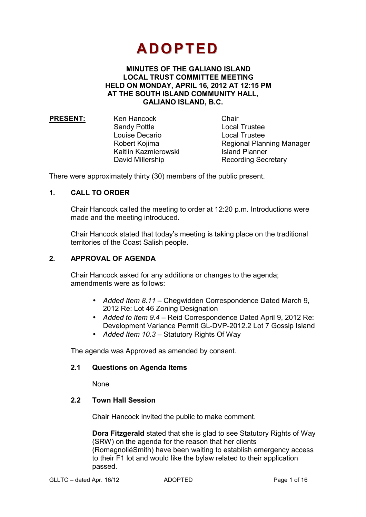# **ADOPTED**

#### **MINUTES OF THE GALIANO ISLAND LOCAL TRUST COMMITTEE MEETING HELD ON MONDAY, APRIL 16, 2012 AT 12:15 PM AT THE SOUTH ISLAND COMMUNITY HALL, GALIANO ISLAND, B.C.**

| <b>PRESENT:</b> | Ken Hancock          | Chair  |
|-----------------|----------------------|--------|
|                 | <b>Sandy Pottle</b>  | Local  |
|                 | Louise Decario       | Local  |
|                 | Robert Kojima        | Regio  |
|                 | Kaitlin Kazmierowski | Island |
|                 | David Millership     | Recor  |

**Local Trustee** Local Trustee Regional Planning Manager i Karlın Karlın Island Planner Recording Secretary

There were approximately thirty (30) members of the public present.

# **1. CALL TO ORDER**

Chair Hancock called the meeting to order at 12:20 p.m. Introductions were made and the meeting introduced.

Chair Hancock stated that today's meeting is taking place on the traditional territories of the Coast Salish people.

# **2. APPROVAL OF AGENDA**

Chair Hancock asked for any additions or changes to the agenda; amendments were as follows:

- *Added Item 8.11* Chegwidden Correspondence Dated March 9, 2012 Re: Lot 46 Zoning Designation
- *Added to Item 9.4* Reid Correspondence Dated April 9, 2012 Re: Development Variance Permit GL-DVP-2012.2 Lot 7 Gossip Island
- *Added Item 10.3* Statutory Rights Of Way

The agenda was Approved as amended by consent.

#### **2.1 Questions on Agenda Items**

None

#### **2.2 Town Hall Session**

Chair Hancock invited the public to make comment.

**Dora Fitzgerald** stated that she is glad to see Statutory Rights of Way (SRW) on the agenda for the reason that her clients (RomagnoliéSmith) have been waiting to establish emergency access to their F1 lot and would like the bylaw related to their application passed.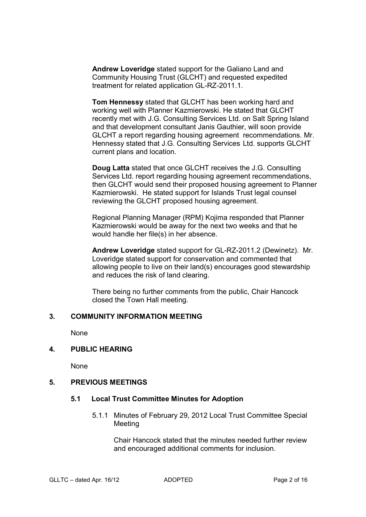**Andrew Loveridge** stated support for the Galiano Land and Community Housing Trust (GLCHT) and requested expedited treatment for related application GL-RZ-2011.1.

**Tom Hennessy** stated that GLCHT has been working hard and working well with Planner Kazmierowski. He stated that GLCHT recently met with J.G. Consulting Services Ltd. on Salt Spring Island and that development consultant Janis Gauthier, will soon provide GLCHT a report regarding housing agreement recommendations. Mr. Hennessy stated that J.G. Consulting Services Ltd. supports GLCHT current plans and location.

**Doug Latta** stated that once GLCHT receives the J.G. Consulting Services Ltd. report regarding housing agreement recommendations, then GLCHT would send their proposed housing agreement to Planner Kazmierowski. He stated support for Islands Trust legal counsel reviewing the GLCHT proposed housing agreement.

Regional Planning Manager (RPM) Kojima responded that Planner Kazmierowski would be away for the next two weeks and that he would handle her file(s) in her absence.

**Andrew Loveridge** stated support for GL-RZ-2011.2 (Dewinetz). Mr. Loveridge stated support for conservation and commented that allowing people to live on their land(s) encourages good stewardship and reduces the risk of land clearing.

There being no further comments from the public, Chair Hancock closed the Town Hall meeting.

# **3. COMMUNITY INFORMATION MEETING**

None

# **4. PUBLIC HEARING**

None

#### **5. PREVIOUS MEETINGS**

#### **5.1 Local Trust Committee Minutes for Adoption**

 5.1.1 Minutes of February 29, 2012 Local Trust Committee Special Meeting

 Chair Hancock stated that the minutes needed further review and encouraged additional comments for inclusion.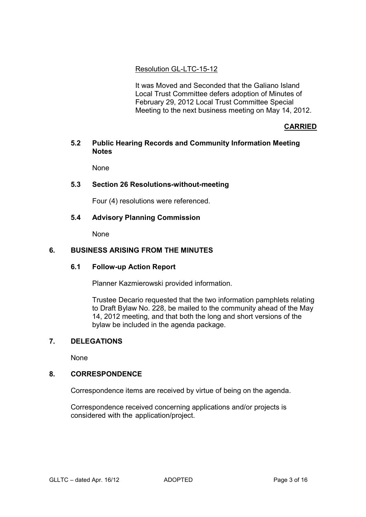# Resolution GL-LTC-15-12

 It was Moved and Seconded that the Galiano Island Local Trust Committee defers adoption of Minutes of February 29, 2012 Local Trust Committee Special Meeting to the next business meeting on May 14, 2012.

# **CARRIED**

# **5.2 Public Hearing Records and Community Information Meeting Notes**

None

# **5.3 Section 26 Resolutions-without-meeting**

Four (4) resolutions were referenced.

#### **5.4 Advisory Planning Commission**

None

# **6. BUSINESS ARISING FROM THE MINUTES**

#### **6.1 Follow-up Action Report**

Planner Kazmierowski provided information.

Trustee Decario requested that the two information pamphlets relating to Draft Bylaw No. 228, be mailed to the community ahead of the May 14, 2012 meeting, and that both the long and short versions of the bylaw be included in the agenda package.

# **7. DELEGATIONS**

None

# **8. CORRESPONDENCE**

Correspondence items are received by virtue of being on the agenda.

 Correspondence received concerning applications and/or projects is considered with the application/project.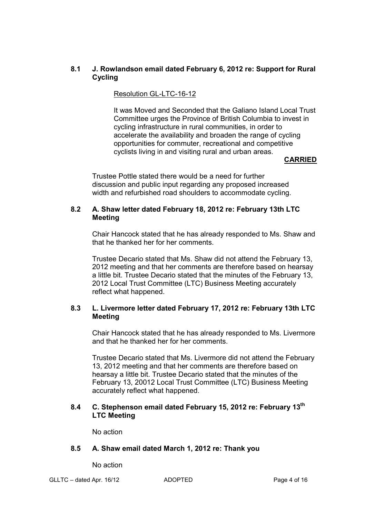# **8.1 J. Rowlandson email dated February 6, 2012 re: Support for Rural Cycling**

# Resolution GL-LTC-16-12

 It was Moved and Seconded that the Galiano Island Local Trust Committee urges the Province of British Columbia to invest in cycling infrastructure in rural communities, in order to accelerate the availability and broaden the range of cycling opportunities for commuter, recreational and competitive cyclists living in and visiting rural and urban areas.

#### **CARRIED**

 Trustee Pottle stated there would be a need for further discussion and public input regarding any proposed increased width and refurbished road shoulders to accommodate cycling.

# **8.2 A. Shaw letter dated February 18, 2012 re: February 13th LTC Meeting**

 Chair Hancock stated that he has already responded to Ms. Shaw and that he thanked her for her comments.

 Trustee Decario stated that Ms. Shaw did not attend the February 13, 2012 meeting and that her comments are therefore based on hearsay a little bit. Trustee Decario stated that the minutes of the February 13, 2012 Local Trust Committee (LTC) Business Meeting accurately reflect what happened.

# **8.3 L. Livermore letter dated February 17, 2012 re: February 13th LTC Meeting**

 Chair Hancock stated that he has already responded to Ms. Livermore and that he thanked her for her comments.

 Trustee Decario stated that Ms. Livermore did not attend the February 13, 2012 meeting and that her comments are therefore based on hearsay a little bit. Trustee Decario stated that the minutes of the February 13, 20012 Local Trust Committee (LTC) Business Meeting accurately reflect what happened.

# **8.4 C. Stephenson email dated February 15, 2012 re: February 13th LTC Meeting**

No action

# **8.5 A. Shaw email dated March 1, 2012 re: Thank you**

No action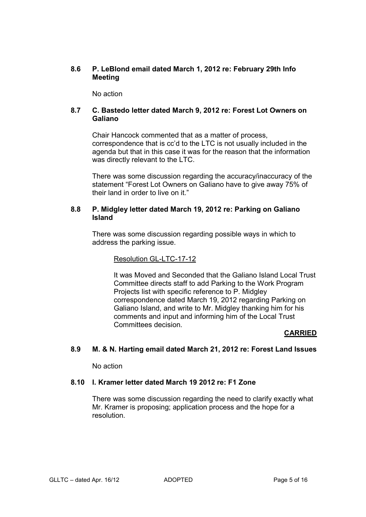# **8.6 P. LeBlond email dated March 1, 2012 re: February 29th Info Meeting**

No action

#### **8.7 C. Bastedo letter dated March 9, 2012 re: Forest Lot Owners on Galiano**

Chair Hancock commented that as a matter of process, correspondence that is cc'd to the LTC is not usually included in the agenda but that in this case it was for the reason that the information was directly relevant to the LTC.

 There was some discussion regarding the accuracy/inaccuracy of the statement "Forest Lot Owners on Galiano have to give away 75% of their land in order to live on it."

#### **8.8 P. Midgley letter dated March 19, 2012 re: Parking on Galiano Island**

There was some discussion regarding possible ways in which to address the parking issue.

#### Resolution GL-LTC-17-12

It was Moved and Seconded that the Galiano Island Local Trust Committee directs staff to add Parking to the Work Program Projects list with specific reference to P. Midgley correspondence dated March 19, 2012 regarding Parking on Galiano Island, and write to Mr. Midgley thanking him for his comments and input and informing him of the Local Trust Committees decision.

# **CARRIED**

# **8.9 M. & N. Harting email dated March 21, 2012 re: Forest Land Issues**

No action

#### **8.10 I. Kramer letter dated March 19 2012 re: F1 Zone**

 There was some discussion regarding the need to clarify exactly what Mr. Kramer is proposing; application process and the hope for a resolution.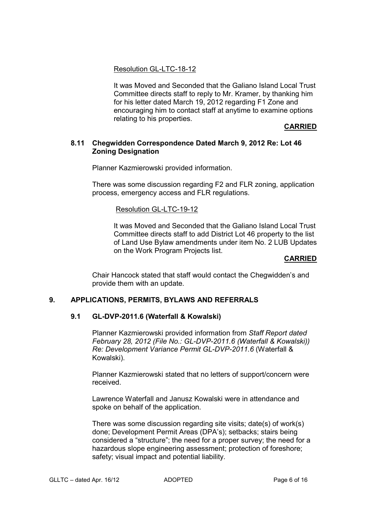Resolution GL-LTC-18-12

It was Moved and Seconded that the Galiano Island Local Trust Committee directs staff to reply to Mr. Kramer, by thanking him for his letter dated March 19, 2012 regarding F1 Zone and encouraging him to contact staff at anytime to examine options relating to his properties.

#### **CARRIED**

#### **8.11 Chegwidden Correspondence Dated March 9, 2012 Re: Lot 46 Zoning Designation**

Planner Kazmierowski provided information.

 There was some discussion regarding F2 and FLR zoning, application process, emergency access and FLR regulations.

#### Resolution GL-LTC-19-12

 It was Moved and Seconded that the Galiano Island Local Trust Committee directs staff to add District Lot 46 property to the list of Land Use Bylaw amendments under item No. 2 LUB Updates on the Work Program Projects list.

# **CARRIED**

Chair Hancock stated that staff would contact the Chegwidden's and provide them with an update.

# **9. APPLICATIONS, PERMITS, BYLAWS AND REFERRALS**

# **9.1 GL-DVP-2011.6 (Waterfall & Kowalski)**

 Planner Kazmierowski provided information from *Staff Report dated February 28, 2012 (File No.: GL-DVP-2011.6 (Waterfall & Kowalski)) Re: Development Variance Permit GL-DVP-2011.6* (Waterfall & Kowalski).

 Planner Kazmierowski stated that no letters of support/concern were received.

 Lawrence Waterfall and Janusz Kowalski were in attendance and spoke on behalf of the application.

There was some discussion regarding site visits; date(s) of work(s) done; Development Permit Areas (DPA's); setbacks; stairs being considered a "structure"; the need for a proper survey; the need for a hazardous slope engineering assessment; protection of foreshore; safety; visual impact and potential liability.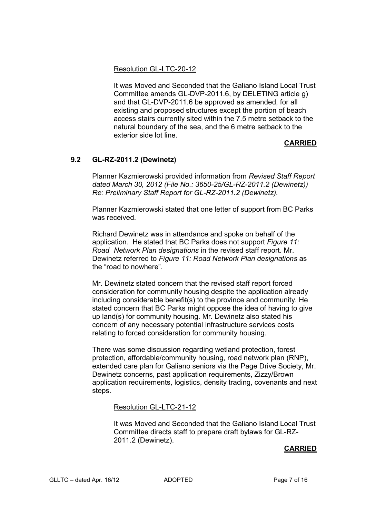Resolution GL-LTC-20-12

It was Moved and Seconded that the Galiano Island Local Trust Committee amends GL-DVP-2011.6, by DELETING article g) and that GL-DVP-2011.6 be approved as amended, for all existing and proposed structures except the portion of beach access stairs currently sited within the 7.5 metre setback to the natural boundary of the sea, and the 6 metre setback to the exterior side lot line.

# **CARRIED**

# **9.2 GL-RZ-2011.2 (Dewinetz)**

 Planner Kazmierowski provided information from *Revised Staff Report dated March 30, 2012 (File No.: 3650-25/GL-RZ-2011.2 (Dewinetz)) Re: Preliminary Staff Report for GL-RZ-2011.2 (Dewinetz).* 

**Planner Kazmierowski stated that one letter of support from BC Parks** was received.

Richard Dewinetz was in attendance and spoke on behalf of the application. He stated that BC Parks does not support *Figure 11: Road Network Plan designations* in the revised staff report. Mr. Dewinetz referred to *Figure 11: Road Network Plan designations* as the "road to nowhere".

Mr. Dewinetz stated concern that the revised staff report forced consideration for community housing despite the application already including considerable benefit(s) to the province and community. He stated concern that BC Parks might oppose the idea of having to give up land(s) for community housing. Mr. Dewinetz also stated his concern of any necessary potential infrastructure services costs relating to forced consideration for community housing.

There was some discussion regarding wetland protection, forest protection, affordable/community housing, road network plan (RNP), extended care plan for Galiano seniors via the Page Drive Society, Mr. Dewinetz concerns, past application requirements, Zizzy/Brown application requirements, logistics, density trading, covenants and next steps.

# Resolution GL-LTC-21-12

 It was Moved and Seconded that the Galiano Island Local Trust Committee directs staff to prepare draft bylaws for GL-RZ- 2011.2 (Dewinetz).

#### **CARRIED**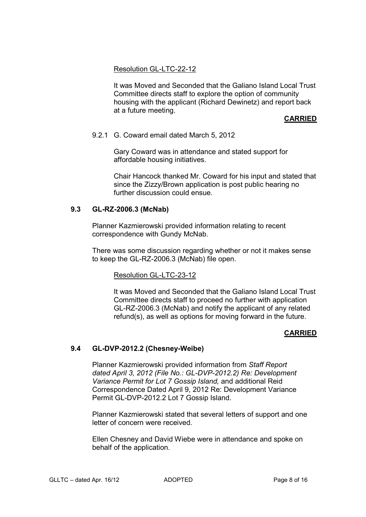# Resolution GL-LTC-22-12

 It was Moved and Seconded that the Galiano Island Local Trust Committee directs staff to explore the option of community housing with the applicant (Richard Dewinetz) and report back at a future meeting.

# **CARRIED**

# 9.2.1 G. Coward email dated March 5, 2012

 Gary Coward was in attendance and stated support for affordable housing initiatives.

 Chair Hancock thanked Mr. Coward for his input and stated that since the Zizzy/Brown application is post public hearing no further discussion could ensue.

# **9.3 GL-RZ-2006.3 (McNab)**

Planner Kazmierowski provided information relating to recent correspondence with Gundy McNab.

 There was some discussion regarding whether or not it makes sense to keep the GL-RZ-2006.3 (McNab) file open.

#### Resolution GL-LTC-23-12

 It was Moved and Seconded that the Galiano Island Local Trust Committee directs staff to proceed no further with application GL-RZ-2006.3 (McNab) and notify the applicant of any related refund(s), as well as options for moving forward in the future.

# **CARRIED**

# **9.4 GL-DVP-2012.2 (Chesney-Weibe)**

 Planner Kazmierowski provided information from *Staff Report dated April 3, 2012 (File No.: GL-DVP-2012.2) Re: Development Variance Permit for Lot 7 Gossip Island,* and additional Reid Correspondence Dated April 9, 2012 Re: Development Variance Permit GL-DVP-2012.2 Lot 7 Gossip Island.

Planner Kazmierowski stated that several letters of support and one letter of concern were received.

 Ellen Chesney and David Wiebe were in attendance and spoke on behalf of the application.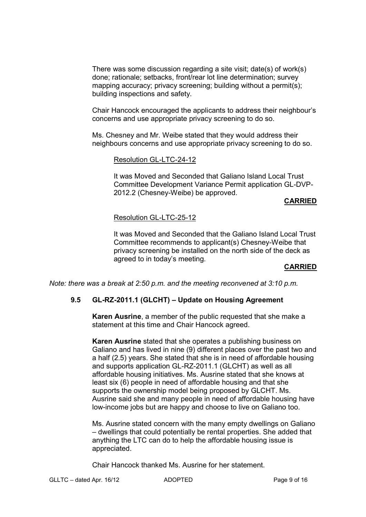There was some discussion regarding a site visit; date(s) of work(s) done; rationale; setbacks, front/rear lot line determination; survey mapping accuracy; privacy screening; building without a permit(s); building inspections and safety.

 Chair Hancock encouraged the applicants to address their neighbour's concerns and use appropriate privacy screening to do so.

 Ms. Chesney and Mr. Weibe stated that they would address their neighbours concerns and use appropriate privacy screening to do so.

Resolution GL-LTC-24-12

 It was Moved and Seconded that Galiano Island Local Trust Committee Development Variance Permit application GL-DVP- 2012.2 (Chesney-Weibe) be approved.

#### **CARRIED**

#### Resolution GL-LTC-25-12

 It was Moved and Seconded that the Galiano Island Local Trust Committee recommends to applicant(s) Chesney-Weibe that privacy screening be installed on the north side of the deck as agreed to in today's meeting.

#### **CARRIED**

*Note: there was a break at 2:50 p.m. and the meeting reconvened at 3:10 p.m.* 

#### **9.5 GL-RZ-2011.1 (GLCHT) – Update on Housing Agreement**

 **Karen Ausrine**, a member of the public requested that she make a statement at this time and Chair Hancock agreed.

**Karen Ausrine** stated that she operates a publishing business on Galiano and has lived in nine (9) different places over the past two and a half (2.5) years. She stated that she is in need of affordable housing and supports application GL-RZ-2011.1 (GLCHT) as well as all affordable housing initiatives. Ms. Ausrine stated that she knows at least six (6) people in need of affordable housing and that she supports the ownership model being proposed by GLCHT. Ms. Ausrine said she and many people in need of affordable housing have low-income jobs but are happy and choose to live on Galiano too.

Ms. Ausrine stated concern with the many empty dwellings on Galiano – dwellings that could potentially be rental properties. She added that anything the LTC can do to help the affordable housing issue is appreciated.

Chair Hancock thanked Ms. Ausrine for her statement.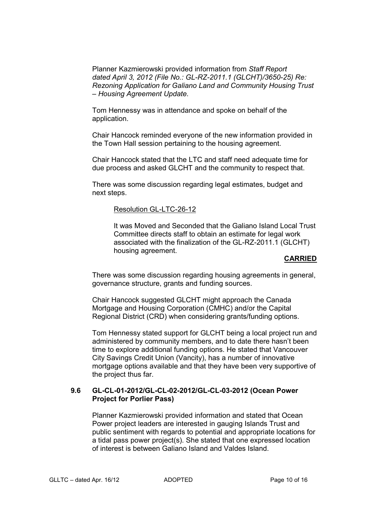Planner Kazmierowski provided information from *Staff Report dated April 3, 2012 (File No.: GL-RZ-2011.1 (GLCHT)/3650-25) Re: Rezoning Application for Galiano Land and Community Housing Trust – Housing Agreement Update.* 

 Tom Hennessy was in attendance and spoke on behalf of the application.

Chair Hancock reminded everyone of the new information provided in the Town Hall session pertaining to the housing agreement.

 Chair Hancock stated that the LTC and staff need adequate time for due process and asked GLCHT and the community to respect that.

 There was some discussion regarding legal estimates, budget and next steps.

#### Resolution GL-LTC-26-12

 It was Moved and Seconded that the Galiano Island Local Trust Committee directs staff to obtain an estimate for legal work associated with the finalization of the GL-RZ-2011.1 (GLCHT) housing agreement.

# **CARRIED**

There was some discussion regarding housing agreements in general, governance structure, grants and funding sources.

 Chair Hancock suggested GLCHT might approach the Canada Mortgage and Housing Corporation (CMHC) and/or the Capital Regional District (CRD) when considering grants/funding options.

Tom Hennessy stated support for GLCHT being a local project run and administered by community members, and to date there hasn't been time to explore additional funding options. He stated that Vancouver City Savings Credit Union (Vancity), has a number of innovative mortgage options available and that they have been very supportive of the project thus far.

#### **9.6 GL-CL-01-2012/GL-CL-02-2012/GL-CL-03-2012 (Ocean Power Project for Porlier Pass)**

Planner Kazmierowski provided information and stated that Ocean Power project leaders are interested in gauging Islands Trust and public sentiment with regards to potential and appropriate locations for a tidal pass power project(s). She stated that one expressed location of interest is between Galiano Island and Valdes Island.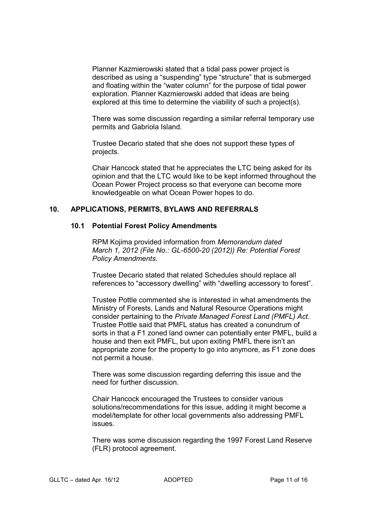Planner Kazmierowski stated that a tidal pass power project is described as using a "suspending" type "structure" that is submerged and floating within the "water column" for the purpose of tidal power exploration. Planner Kazmierowski added that ideas are being explored at this time to determine the viability of such a project(s).

There was some discussion regarding a similar referral temporary use permits and Gabriola Island.

 Trustee Decario stated that she does not support these types of projects.

 Chair Hancock stated that he appreciates the LTC being asked for its opinion and that the LTC would like to be kept informed throughout the Ocean Power Project process so that everyone can become more knowledgeable on what Ocean Power hopes to do.

#### **10. APPLICATIONS, PERMITS, BYLAWS AND REFERRALS**

#### **10.1 Potential Forest Policy Amendments**

 RPM Kojima provided information from *Memorandum dated March 1, 2012 (File No.: GL-6500-20 (2012)) Re: Potential Forest Policy Amendments.* 

Trustee Decario stated that related Schedules should replace all references to "accessory dwelling" with "dwelling accessory to forest".

Trustee Pottle commented she is interested in what amendments the Ministry of Forests, Lands and Natural Resource Operations might consider pertaining to the *Private Managed Forest Land (PMFL) Act*. Trustee Pottle said that PMFL status has created a conundrum of sorts in that a F1 zoned land owner can potentially enter PMFL, build a house and then exit PMFL, but upon exiting PMFL there isn't an appropriate zone for the property to go into anymore, as F1 zone does not permit a house.

There was some discussion regarding deferring this issue and the need for further discussion.

Chair Hancock encouraged the Trustees to consider various solutions/recommendations for this issue, adding it might become a model/template for other local governments also addressing PMFL issues.

 There was some discussion regarding the 1997 Forest Land Reserve (FLR) protocol agreement.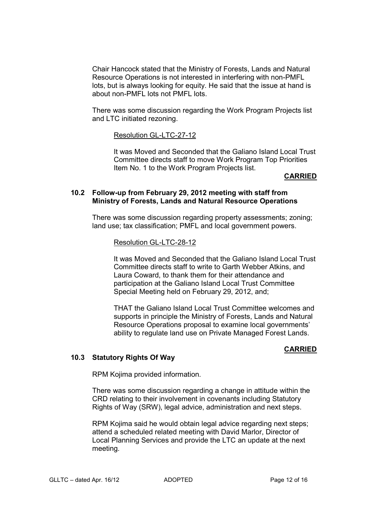Chair Hancock stated that the Ministry of Forests, Lands and Natural Resource Operations is not interested in interfering with non-PMFL lots, but is always looking for equity. He said that the issue at hand is about non-PMFL lots not PMFL lots.

 There was some discussion regarding the Work Program Projects list and LTC initiated rezoning.

#### Resolution GL-LTC-27-12

 It was Moved and Seconded that the Galiano Island Local Trust Committee directs staff to move Work Program Top Priorities Item No. 1 to the Work Program Projects list.

#### **CARRIED**

#### **10.2 Follow-up from February 29, 2012 meeting with staff from Ministry of Forests, Lands and Natural Resource Operations**

There was some discussion regarding property assessments; zoning; land use; tax classification; PMFL and local government powers.

#### Resolution GL-LTC-28-12

 It was Moved and Seconded that the Galiano Island Local Trust Committee directs staff to write to Garth Webber Atkins, and Laura Coward, to thank them for their attendance and participation at the Galiano Island Local Trust Committee Special Meeting held on February 29, 2012, and;

THAT the Galiano Island Local Trust Committee welcomes and supports in principle the Ministry of Forests, Lands and Natural Resource Operations proposal to examine local governments' ability to regulate land use on Private Managed Forest Lands.

#### **CARRIED**

#### **10.3 Statutory Rights Of Way**

RPM Kojima provided information.

There was some discussion regarding a change in attitude within the CRD relating to their involvement in covenants including Statutory Rights of Way (SRW), legal advice, administration and next steps.

RPM Kojima said he would obtain legal advice regarding next steps; attend a scheduled related meeting with David Marlor, Director of Local Planning Services and provide the LTC an update at the next meeting.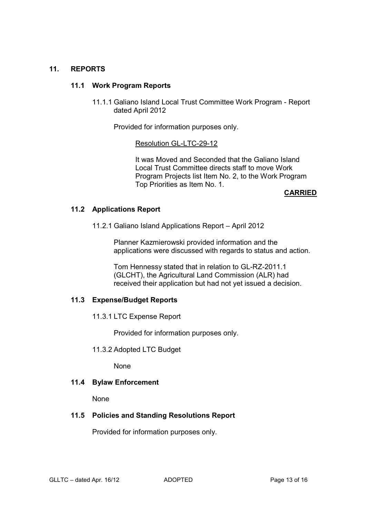#### **11. REPORTS**

#### **11.1 Work Program Reports**

11.1.1 Galiano Island Local Trust Committee Work Program - Report dated April 2012

Provided for information purposes only.

Resolution GL-LTC-29-12

It was Moved and Seconded that the Galiano Island Local Trust Committee directs staff to move Work Program Projects list Item No. 2, to the Work Program Top Priorities as Item No. 1.

**CARRIED** 

#### **11.2 Applications Report**

11.2.1 Galiano Island Applications Report – April 2012

 Planner Kazmierowski provided information and the applications were discussed with regards to status and action.

 Tom Hennessy stated that in relation to GL-RZ-2011.1 (GLCHT), the Agricultural Land Commission (ALR) had received their application but had not yet issued a decision.

#### **11.3 Expense/Budget Reports**

11.3.1 LTC Expense Report

Provided for information purposes only.

11.3.2 Adopted LTC Budget

None

# **11.4 Bylaw Enforcement**

None

# **11.5 Policies and Standing Resolutions Report**

Provided for information purposes only.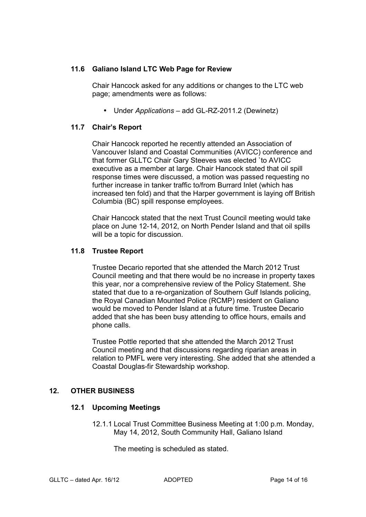# **11.6 Galiano Island LTC Web Page for Review**

 Chair Hancock asked for any additions or changes to the LTC web page; amendments were as follows:

• Under *Applications –* add GL-RZ-2011.2 (Dewinetz)

#### **11.7 Chair's Report**

Chair Hancock reported he recently attended an Association of Vancouver Island and Coastal Communities (AVICC) conference and that former GLLTC Chair Gary Steeves was elected `to AVICC executive as a member at large. Chair Hancock stated that oil spill response times were discussed, a motion was passed requesting no further increase in tanker traffic to/from Burrard Inlet (which has increased ten fold) and that the Harper government is laying off British Columbia (BC) spill response employees.

 Chair Hancock stated that the next Trust Council meeting would take place on June 12-14, 2012, on North Pender Island and that oil spills will be a topic for discussion.

#### **11.8 Trustee Report**

 Trustee Decario reported that she attended the March 2012 Trust Council meeting and that there would be no increase in property taxes this year, nor a comprehensive review of the Policy Statement. She stated that due to a re-organization of Southern Gulf Islands policing, the Royal Canadian Mounted Police (RCMP) resident on Galiano would be moved to Pender Island at a future time. Trustee Decario added that she has been busy attending to office hours, emails and phone calls.

 Trustee Pottle reported that she attended the March 2012 Trust Council meeting and that discussions regarding riparian areas in relation to PMFL were very interesting. She added that she attended a Coastal Douglas-fir Stewardship workshop.

# **12. OTHER BUSINESS**

#### **12.1 Upcoming Meetings**

12.1.1 Local Trust Committee Business Meeting at 1:00 p.m. Monday, May 14, 2012, South Community Hall, Galiano Island

The meeting is scheduled as stated.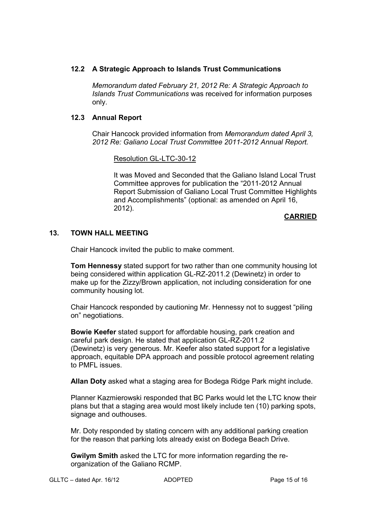# **12.2 A Strategic Approach to Islands Trust Communications**

 *Memorandum dated February 21, 2012 Re: A Strategic Approach to Islands Trust Communications* was received for information purposes only.

# **12.3 Annual Report**

Chair Hancock provided information from *Memorandum dated April 3, 2012 Re: Galiano Local Trust Committee 2011-2012 Annual Report.* 

Resolution GL-LTC-30-12

It was Moved and Seconded that the Galiano Island Local Trust Committee approves for publication the "2011-2012 Annual Report Submission of Galiano Local Trust Committee Highlights and Accomplishments" (optional: as amended on April 16, 2012).

#### **CARRIED**

# **13. TOWN HALL MEETING**

Chair Hancock invited the public to make comment.

**Tom Hennessy** stated support for two rather than one community housing lot being considered within application GL-RZ-2011.2 (Dewinetz) in order to make up for the Zizzy/Brown application, not including consideration for one community housing lot.

 Chair Hancock responded by cautioning Mr. Hennessy not to suggest "piling on" negotiations.

 **Bowie Keefer** stated support for affordable housing, park creation and careful park design. He stated that application GL-RZ-2011.2 (Dewinetz) is very generous. Mr. Keefer also stated support for a legislative approach, equitable DPA approach and possible protocol agreement relating to PMFL issues.

**Allan Doty** asked what a staging area for Bodega Ridge Park might include.

 Planner Kazmierowski responded that BC Parks would let the LTC know their plans but that a staging area would most likely include ten (10) parking spots, signage and outhouses.

 Mr. Doty responded by stating concern with any additional parking creation for the reason that parking lots already exist on Bodega Beach Drive.

 **Gwilym Smith** asked the LTC for more information regarding the re organization of the Galiano RCMP.